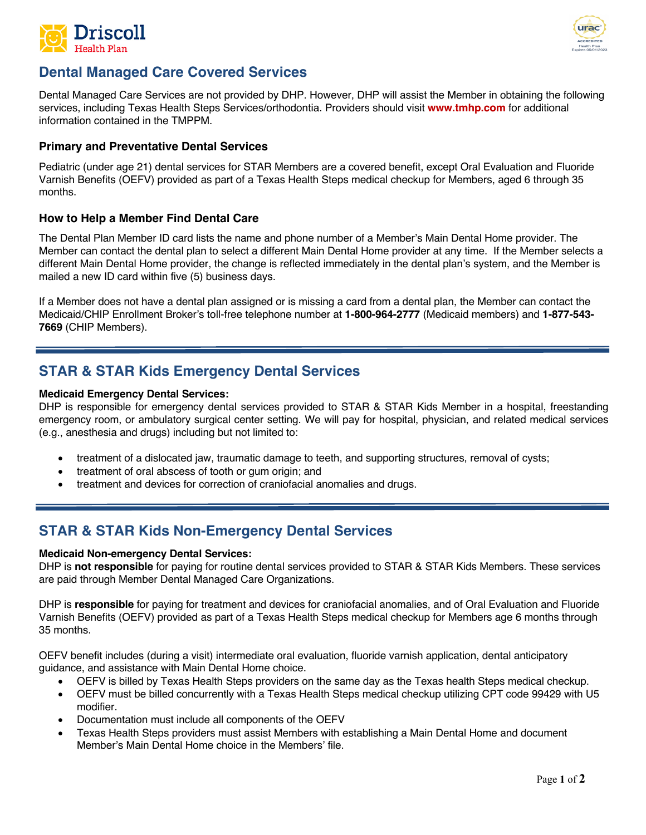



# **Dental Managed Care Covered Services**

Dental Managed Care Services are not provided by DHP. However, DHP will assist the Member in obtaining the following services, including Texas Health Steps Services/orthodontia. Providers should visit **[www.tmhp.com](http://www.tmhp.com/)** for additional information contained in the TMPPM.

### **Primary and Preventative Dental Services**

Pediatric (under age 21) dental services for STAR Members are a covered benefit, except Oral Evaluation and Fluoride Varnish Benefits (OEFV) provided as part of a Texas Health Steps medical checkup for Members, aged 6 through 35 months.

### **How to Help a Member Find Dental Care**

The Dental Plan Member ID card lists the name and phone number of a Member's Main Dental Home provider. The Member can contact the dental plan to select a different Main Dental Home provider at any time. If the Member selects a different Main Dental Home provider, the change is reflected immediately in the dental plan's system, and the Member is mailed a new ID card within five (5) business days.

If a Member does not have a dental plan assigned or is missing a card from a dental plan, the Member can contact the Medicaid/CHIP Enrollment Broker's toll-free telephone number at **1-800-964-2777** (Medicaid members) and **1-877-543- 7669** (CHIP Members).

## **STAR & STAR Kids Emergency Dental Services**

#### **Medicaid Emergency Dental Services:**

DHP is responsible for emergency dental services provided to STAR & STAR Kids Member in a hospital, freestanding emergency room, or ambulatory surgical center setting. We will pay for hospital, physician, and related medical services (e.g., anesthesia and drugs) including but not limited to:

- treatment of a dislocated jaw, traumatic damage to teeth, and supporting structures, removal of cysts;
- treatment of oral abscess of tooth or gum origin; and
- treatment and devices for correction of craniofacial anomalies and drugs.

### **STAR & STAR Kids Non-Emergency Dental Services**

#### **Medicaid Non-emergency Dental Services:**

DHP is **not responsible** for paying for routine dental services provided to STAR & STAR Kids Members. These services are paid through Member Dental Managed Care Organizations.

DHP is **responsible** for paying for treatment and devices for craniofacial anomalies, and of Oral Evaluation and Fluoride Varnish Benefits (OEFV) provided as part of a Texas Health Steps medical checkup for Members age 6 months through 35 months.

OEFV benefit includes (during a visit) intermediate oral evaluation, fluoride varnish application, dental anticipatory guidance, and assistance with Main Dental Home choice.

- OEFV is billed by Texas Health Steps providers on the same day as the Texas health Steps medical checkup.
- OEFV must be billed concurrently with a Texas Health Steps medical checkup utilizing CPT code 99429 with U5 modifier.
- Documentation must include all components of the OEFV
- Texas Health Steps providers must assist Members with establishing a Main Dental Home and document Member's Main Dental Home choice in the Members' file.